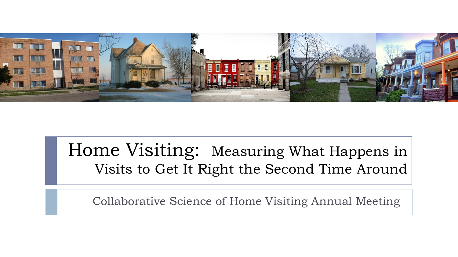

### Home Visiting: Measuring What Happens in Visits to Get It Right the Second Time Around

Collaborative Science of Home Visiting Annual Meeting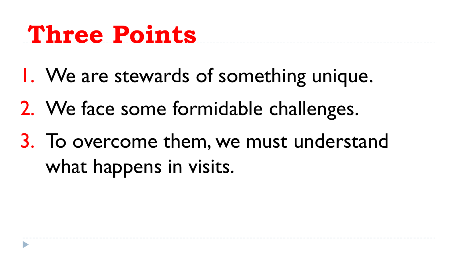## **Three Points**

- 1. We are stewards of something unique.
- 2. We face some formidable challenges.
- 3. To overcome them, we must understand what happens in visits.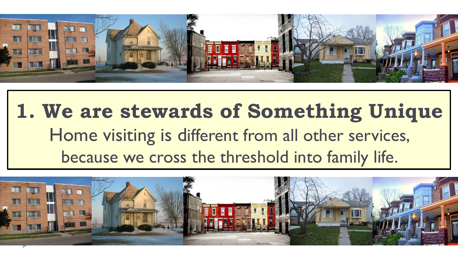

## **1. We are stewards of Something Unique** Home visiting is different from all other services, because we cross the threshold into family life.

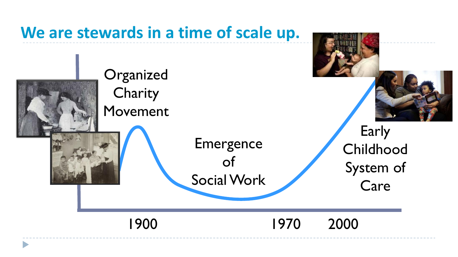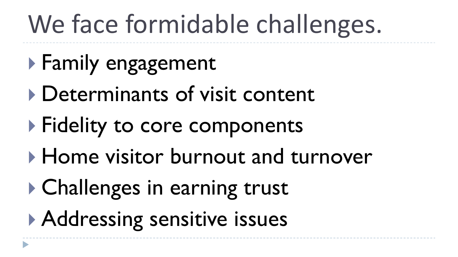# We face formidable challenges.

- **Family engagement**
- Determinants of visit content
- **Fidelity to core components**
- Home visitor burnout and turnover
- **▶ Challenges in earning trust**
- Addressing sensitive issues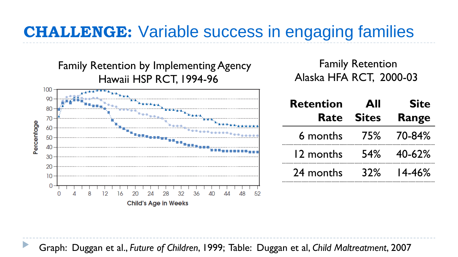### **CHALLENGE:** Variable success in engaging families



Family Retention Alaska HFA RCT, 2000-03

| <b>Retention</b> | All          | <b>Site</b>   |
|------------------|--------------|---------------|
| Rate             | <b>Sites</b> | Range         |
| 6 months         | 75%          | 70-84%        |
| 12 months        | <b>54%</b>   | 40-62%        |
| 24 months        | $32\%$       | <b>14-46%</b> |

Graph: Duggan et al., *Future of Children*, 1999; Table: Duggan et al, *Child Maltreatment*, 2007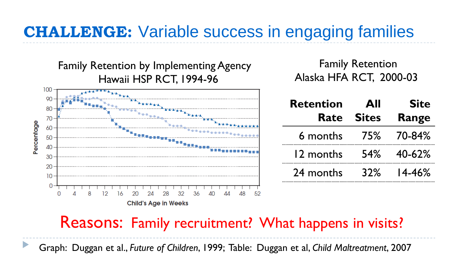### **CHALLENGE:** Variable success in engaging families



Family Retention Alaska HFA RCT, 2000-03

| <b>Retention</b> | All          | <b>Site</b> |
|------------------|--------------|-------------|
| Rate             | <b>Sites</b> | Range       |
| 6 months         |              | 75% 70-84%  |
| 12 months        | <b>54%</b>   | 40-62%      |
| 24 months        | 32%          | $14 - 46%$  |

#### Reasons: Family recruitment? What happens in visits?

Graph: Duggan et al., *Future of Children*, 1999; Table: Duggan et al, *Child Maltreatment*, 2007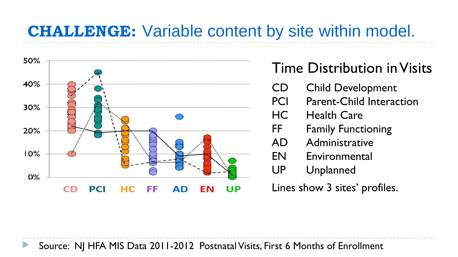### **CHALLENGE:** Variable content by site within model.



### Time Distribution in Visits

- CD Child Development
- PCI Parent-Child Interaction
- HC Health Care
- FF Family Functioning
- AD Administrative
- EN Environmental
- UP Unplanned
- Lines show 3 sites' profiles.

Source: NJ HFA MIS Data 2011-2012 Postnatal Visits, First 6 Months of Enrollment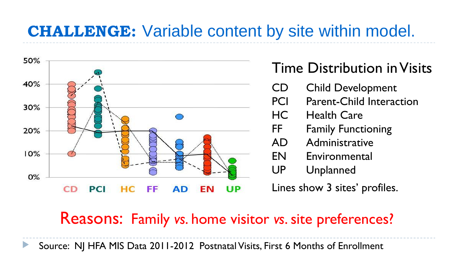### **CHALLENGE:** Variable content by site within model.



### Time Distribution in Visits

- CD Child Development
- PCI Parent-Child Interaction
- HC Health Care
- FF Family Functioning
- AD Administrative
- EN Environmental
- UP Unplanned

Lines show 3 sites' profiles.

### Reasons: Family *vs*. home visitor *vs*. site preferences?

Source: NJ HFA MIS Data 2011-2012 Postnatal Visits, First 6 Months of Enrollment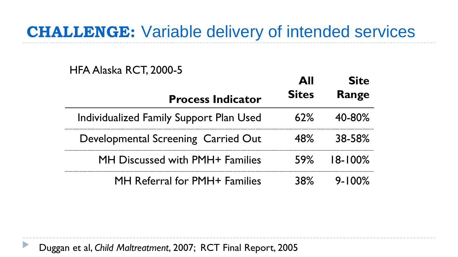### **CHALLENGE:** Variable delivery of intended services

#### HFA Alaska RCT, 2000-5

D

|                                         | ΔII          | <b>Site</b>  |
|-----------------------------------------|--------------|--------------|
| <b>Process Indicator</b>                | <b>Sites</b> | Range        |
| Individualized Family Support Plan Used | 62%          | 40-80%       |
| Developmental Screening Carried Out     | 48%          | 38-58%       |
| MH Discussed with PMH+ Families         | 59%          | $18 - 100\%$ |
| MH Referral for PMH+ Families           |              | $9 - 100%$   |

Duggan et al, *Child Maltreatment*, 2007; RCT Final Report, 2005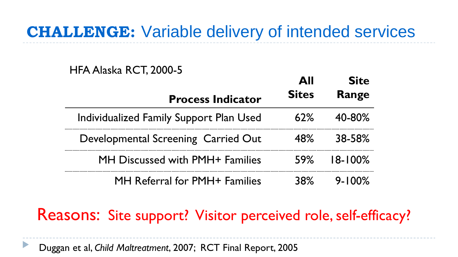### **CHALLENGE:** Variable delivery of intended services

#### HFA Alaska RCT, 2000-5

|                                         | AШ           | <b>Site</b>  |
|-----------------------------------------|--------------|--------------|
| <b>Process Indicator</b>                | <b>Sites</b> | Range        |
| Individualized Family Support Plan Used | 62%          | 40-80%       |
| Developmental Screening Carried Out     | 48%          | 38-58%       |
| MH Discussed with PMH+ Families         | 59%          | $18 - 100\%$ |
| MH Referral for PMH+ Families           | ⊀ନ%          | $9 - 100\%$  |

### Reasons: Site support? Visitor perceived role, self-efficacy?

Duggan et al, *Child Maltreatment*, 2007; RCT Final Report, 2005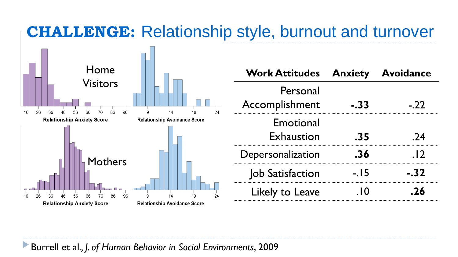### **CHALLENGE:** Relationship style, burnout and turnover



| <b>Work Attitudes</b>          | <b>Anxiety</b> | <b>Avoidance</b> |
|--------------------------------|----------------|------------------|
| Personal<br>Accomplishment     | -.33           | $-.22$           |
| Emotional<br><b>Exhaustion</b> | .35            | .24              |
| Depersonalization              | .36            | . 12             |
| Job Satisfaction               | $-.15$         | $-.32$           |
| Likely to Leave                | . $10$         | .26              |

Burrell et al*., J. of Human Behavior in Social Environments*, 2009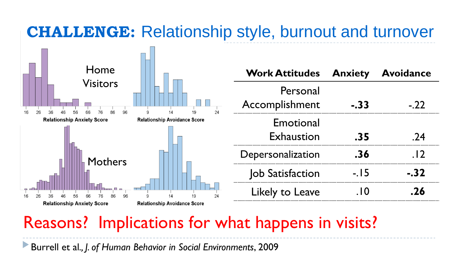### **CHALLENGE:** Relationship style, burnout and turnover



| <b>Work Attitudes</b>      | <b>Anxiety</b> | <b>Avoidance</b> |
|----------------------------|----------------|------------------|
| Personal<br>Accomplishment | $-.33$         | $-.22$           |
| Emotional<br>Exhaustion    | .35            | .24              |
| Depersonalization          | .36            | . 12             |
| Job Satisfaction           | $-15$          | -.32             |
| Likely to Leave            | . $10$         | .26              |

### Reasons? Implications for what happens in visits?

Burrell et al*., J. of Human Behavior in Social Environments*, 2009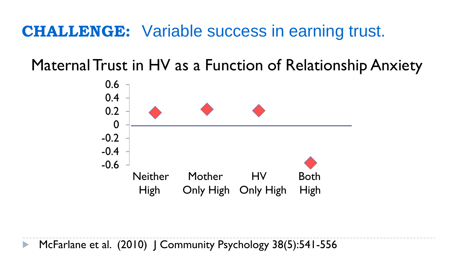### **CHALLENGE:** Variable success in earning trust.

Maternal Trust in HV as a Function of Relationship Anxiety



McFarlane et al. (2010) | Community Psychology 38(5):541-556  $\blacktriangleright$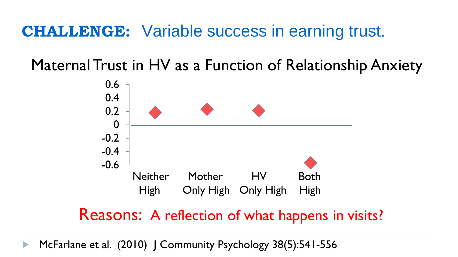### **CHALLENGE:** Variable success in earning trust.

Maternal Trust in HV as a Function of Relationship Anxiety



Reasons: A reflection of what happens in visits?

McFarlane et al. (2010) | Community Psychology 38(5):541-556  $\blacktriangleright$